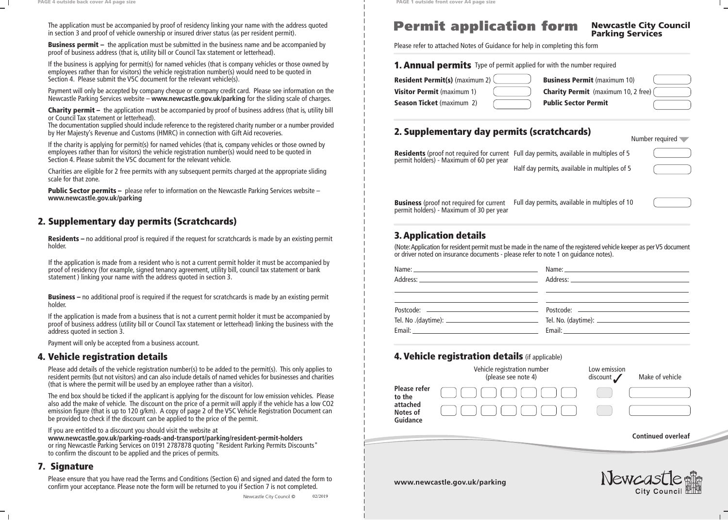**Business permit** – the application must be submitted in the business name and be accompanied by proof of business address (that is, utility bill or Council Tax statement or letterhead).

**Charity permit** – the application must be accompanied by proof of business address (that is, utility bill or Council Tax statement or letterhead).

The application must be accompanied by proof of residency linking your name with the address quoted in section 3 and proof of vehicle ownership or insured driver status (as per resident permit).

**Public Sector permits –** please refer to information on the Newcastle Parking Services website – **www.newcastle.gov.uk/parking**

If the business is applying for permit(s) for named vehicles (that is company vehicles or those owned by employees rather than for visitors) the vehicle registration number(s) would need to be quoted in Section 4. Please submit the V5C document for the relevant vehicle(s).

Payment will only be accepted by company cheque or company credit card. Please see information on the Newcastle Parking Services website – **www.newcastle.gov.uk/parking** for the sliding scale of charges.

The documentation supplied should include reference to the registered charity number or a number provided by Her Majesty's Revenue and Customs (HMRC) in connection with Gift Aid recoveries.

If the charity is applying for permit(s) for named vehicles (that is, company vehicles or those owned by employees rather than for visitors) the vehicle registration number(s) would need to be quoted in Section 4. Please submit the V5C document for the relevant vehicle.

Please ensure that you have read the Terms and Conditions (Section 6) and signed and dated the form to confirm your acceptance. Please note the form will be returned to you if Section 7 is not completed.

Charities are eligible for 2 free permits with any subsequent permits charged at the appropriate sliding scale for that zone.

| <b>Permit application form</b>                                                                                                                                                                                                              |                                                | <b>Newcastle City Council</b><br><b>Parking Services</b> |
|---------------------------------------------------------------------------------------------------------------------------------------------------------------------------------------------------------------------------------------------|------------------------------------------------|----------------------------------------------------------|
| Please refer to attached Notes of Guidance for help in completing this form                                                                                                                                                                 |                                                |                                                          |
| 1. Annual permits Type of permit applied for with the number required                                                                                                                                                                       |                                                |                                                          |
| <b>Resident Permit(s)</b> (maximum 2)                                                                                                                                                                                                       |                                                | <b>Business Permit (maximum 10)</b>                      |
| <b>Visitor Permit (maximum 1)</b>                                                                                                                                                                                                           |                                                | <b>Charity Permit</b> (maximum 10, 2 free)               |
| <b>Season Ticket</b> (maximum 2)                                                                                                                                                                                                            | <b>Public Sector Permit</b>                    |                                                          |
| 2. Supplementary day permits (scratchcards)                                                                                                                                                                                                 |                                                | Number required                                          |
| <b>Residents</b> (proof not required for current Full day permits, available in multiples of 5                                                                                                                                              |                                                |                                                          |
| permit holders) - Maximum of 60 per year                                                                                                                                                                                                    |                                                |                                                          |
|                                                                                                                                                                                                                                             | Half day permits, available in multiples of 5  |                                                          |
| <b>Business</b> (proof not required for current<br>permit holders) - Maximum of 30 per year                                                                                                                                                 | Full day permits, available in multiples of 10 |                                                          |
| <b>3. Application details</b><br>(Note: Application for resident permit must be made in the name of the registered vehicle keeper as per V5 document<br>or driver noted on insurance documents - please refer to note 1 on guidance notes). |                                                |                                                          |
|                                                                                                                                                                                                                                             |                                                |                                                          |
|                                                                                                                                                                                                                                             |                                                |                                                          |
|                                                                                                                                                                                                                                             |                                                |                                                          |
| 4. Vehicle registration details (if applicable)<br>Vehicle registration number<br>(please see note 4)<br><b>Please refer</b>                                                                                                                |                                                | Low emission<br>discount<br>Make of vehicle              |
| to the                                                                                                                                                                                                                                      |                                                |                                                          |
| attached<br>Notes of<br><b>Guidance</b>                                                                                                                                                                                                     |                                                |                                                          |
|                                                                                                                                                                                                                                             |                                                | <b>Continued overleaf</b>                                |
|                                                                                                                                                                                                                                             |                                                |                                                          |
| www.newcastle.gov.uk/parking                                                                                                                                                                                                                |                                                | Newcastle <b>Mill</b>                                    |



 $\overline{\phantom{a}}$ 

## 2. Supplementary day permits (Scratchcards)

Residents – no additional proof is required if the request for scratchcards is made by an existing permit holder.

If the application is made from a resident who is not a current permit holder it must be accompanied by proof of residency (for example, signed tenancy agreement, utility bill, council tax statement or bank statement ) linking your name with the address quoted in section 3.

Business – no additional proof is required if the request for scratchcards is made by an existing permit holder.

If the application is made from a business that is not a current permit holder it must be accompanied by proof of business address (utility bill or Council Tax statement or letterhead) linking the business with the address quoted in section 3.

Payment will only be accepted from a business account.

## 4. Vehicle registration details

Please add details of the vehicle registration number(s) to be added to the permit(s). This only applies to resident permits (but not visitors) and can also include details of named vehicles for businesses and charities (that is where the permit will be used by an employee rather than a visitor).

The end box should be ticked if the applicant is applying for the discount for low emission vehicles. Please also add the make of vehicle. The discount on the price of a permit will apply if the vehicle has a low CO2 emission figure (that is up to 120 g/km). A copy of page 2 of the V5C Vehicle Registration Document can be provided to check if the discount can be applied to the price of the permit.

If you are entitled to a discount you should visit the website at **www.newcastle.gov.uk/parking-roads-and-transport/parking/resident-permit-holders** or ring Newcastle Parking Services on 0191 2787878 quoting "Resident Parking Permits Discounts" to confirm the discount to be applied and the prices of permits.

## 7. Signature

PAGE 4 outside back cover A4 page size PAGE 1 outside front cover A4 page size